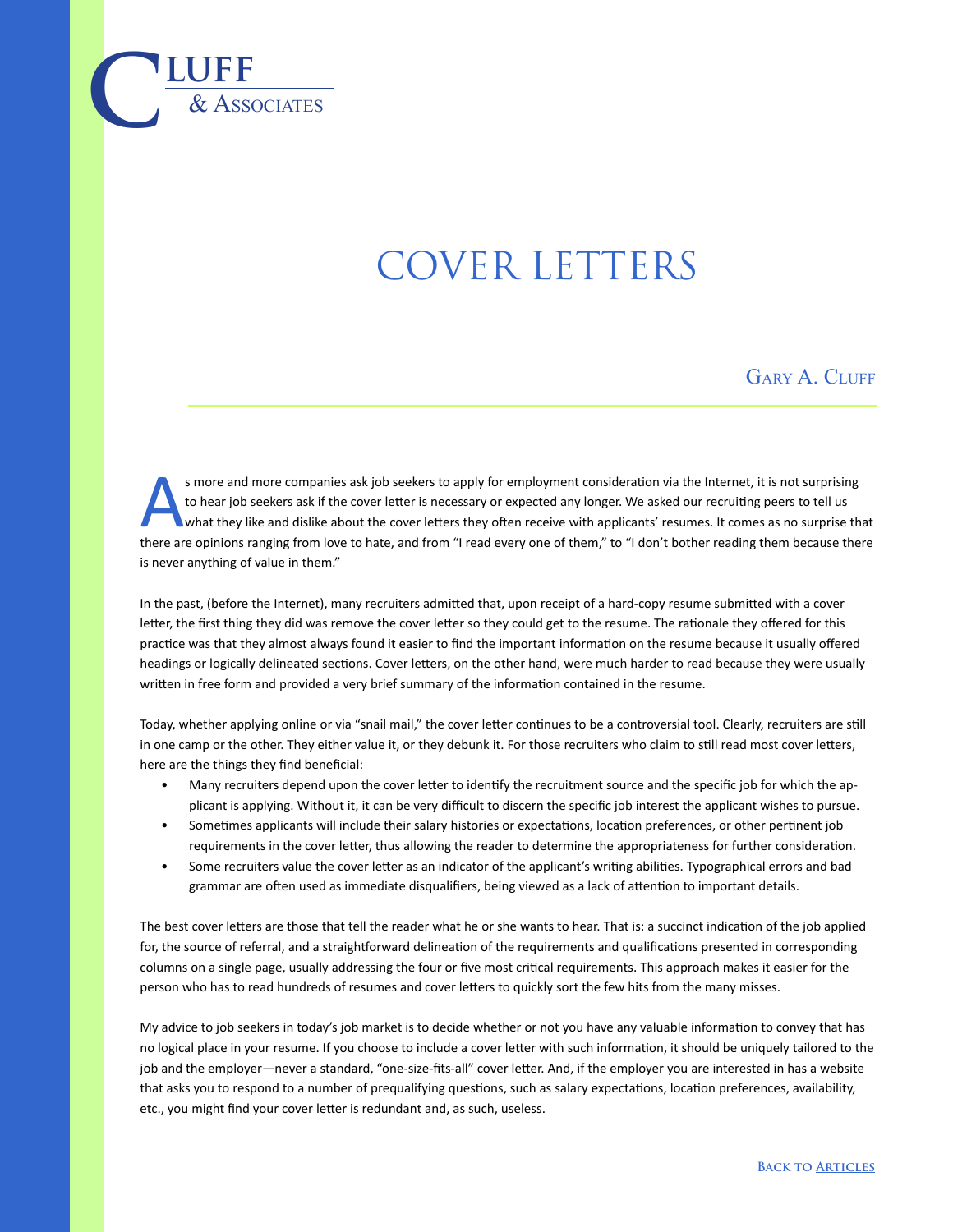## COVER LETTERS

 $\overline{\text{LUFF}}$  **luff** 

## GARY A. CLUFF

s more and more companies ask job seekers to apply for employment consideration via the Internet, it is not surprising<br>to hear job seekers ask if the cover letter is necessary or expected any longer. We asked our recruitin to hear job seekers ask if the cover letter is necessary or expected any longer. We asked our recruiting peers to tell us there are opinions ranging from love to hate, and from "I read every one of them," to "I don't bother reading them because there is never anything of value in them."

In the past, (before the Internet), many recruiters admitted that, upon receipt of a hard-copy resume submitted with a cover letter, the first thing they did was remove the cover letter so they could get to the resume. The rationale they offered for this practice was that they almost always found it easier to find the important information on the resume because it usually offered headings or logically delineated sections. Cover letters, on the other hand, were much harder to read because they were usually written in free form and provided a very brief summary of the information contained in the resume.

Today, whether applying online or via "snail mail," the cover letter continues to be a controversial tool. Clearly, recruiters are still in one camp or the other. They either value it, or they debunk it. For those recruiters who claim to still read most cover letters, here are the things they find beneficial:

- Many recruiters depend upon the cover letter to identify the recruitment source and the specific job for which the applicant is applying. Without it, it can be very difficult to discern the specific job interest the applicant wishes to pursue.
- Sometimes applicants will include their salary histories or expectations, location preferences, or other pertinent job requirements in the cover letter, thus allowing the reader to determine the appropriateness for further consideration.
- Some recruiters value the cover letter as an indicator of the applicant's writing abilities. Typographical errors and bad grammar are often used as immediate disqualifiers, being viewed as a lack of attention to important details.

The best cover letters are those that tell the reader what he or she wants to hear. That is: a succinct indication of the job applied for, the source of referral, and a straightforward delineation of the requirements and qualifications presented in corresponding columns on a single page, usually addressing the four or five most critical requirements. This approach makes it easier for the person who has to read hundreds of resumes and cover letters to quickly sort the few hits from the many misses.

My advice to job seekers in today's job market is to decide whether or not you have any valuable information to convey that has no logical place in your resume. If you choose to include a cover letter with such information, it should be uniquely tailored to the job and the employer—never a standard, "one-size-fits-all" cover letter. And, if the employer you are interested in has a website that asks you to respond to a number of prequalifying questions, such as salary expectations, location preferences, availability, etc., you might find your cover letter is redundant and, as such, useless.